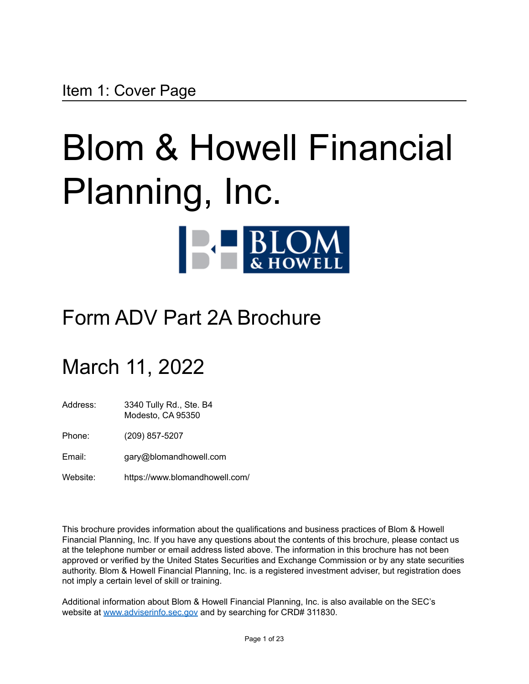# <span id="page-0-0"></span>Blom & Howell Financial Planning, Inc.



# Form ADV Part 2A Brochure

# March 11, 2022

Address: 3340 Tully Rd., Ste. B4 Modesto, CA 95350

Phone: (209) 857-5207

Email: gary@blomandhowell.com

Website: https://www.blomandhowell.com/

This brochure provides information about the qualifications and business practices of Blom & Howell Financial Planning, Inc. If you have any questions about the contents of this brochure, please contact us at the telephone number or email address listed above. The information in this brochure has not been approved or verified by the United States Securities and Exchange Commission or by any state securities authority. Blom & Howell Financial Planning, Inc. is a registered investment adviser, but registration does not imply a certain level of skill or training.

Additional information about Blom & Howell Financial Planning, Inc. is also available on the SEC's website at [www.adviserinfo.sec.gov](http://www.adviserinfo.sec.gov) and by searching for CRD# 311830.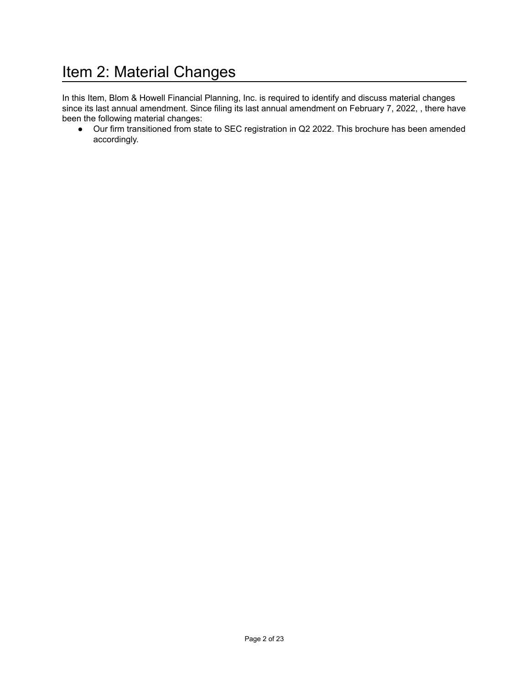# <span id="page-1-0"></span>Item 2: Material Changes

In this Item, Blom & Howell Financial Planning, Inc. is required to identify and discuss material changes since its last annual amendment. Since filing its last annual amendment on February 7, 2022, , there have been the following material changes:

• Our firm transitioned from state to SEC registration in Q2 2022. This brochure has been amended accordingly.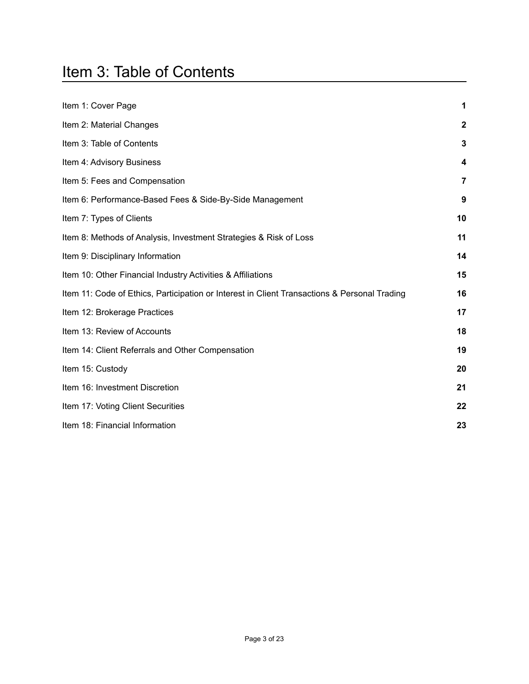# <span id="page-2-0"></span>Item 3: Table of Contents

| Item 1: Cover Page                                                                           | 1                |
|----------------------------------------------------------------------------------------------|------------------|
| Item 2: Material Changes                                                                     | $\boldsymbol{2}$ |
| Item 3: Table of Contents                                                                    | 3                |
| Item 4: Advisory Business                                                                    | 4                |
| Item 5: Fees and Compensation                                                                | 7                |
| Item 6: Performance-Based Fees & Side-By-Side Management                                     | 9                |
| Item 7: Types of Clients                                                                     | 10               |
| Item 8: Methods of Analysis, Investment Strategies & Risk of Loss                            | 11               |
| Item 9: Disciplinary Information                                                             | 14               |
| Item 10: Other Financial Industry Activities & Affiliations                                  | 15               |
| Item 11: Code of Ethics, Participation or Interest in Client Transactions & Personal Trading | 16               |
| Item 12: Brokerage Practices                                                                 | 17               |
| Item 13: Review of Accounts                                                                  | 18               |
| Item 14: Client Referrals and Other Compensation                                             | 19               |
| Item 15: Custody                                                                             | 20               |
| Item 16: Investment Discretion                                                               | 21               |
| Item 17: Voting Client Securities                                                            | 22               |
| Item 18: Financial Information                                                               | 23               |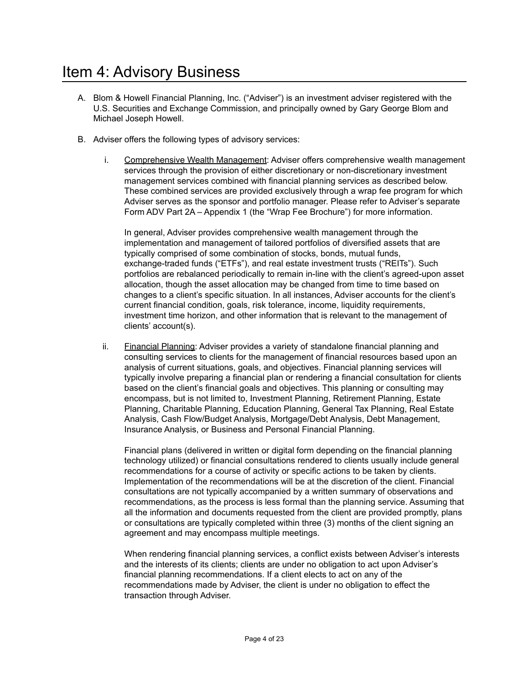#### <span id="page-3-0"></span>Item 4: Advisory Business

- A. Blom & Howell Financial Planning, Inc. ("Adviser") is an investment adviser registered with the U.S. Securities and Exchange Commission, and principally owned by Gary George Blom and Michael Joseph Howell.
- B. Adviser offers the following types of advisory services:
	- i. Comprehensive Wealth Management: Adviser offers comprehensive wealth management services through the provision of either discretionary or non-discretionary investment management services combined with financial planning services as described below. These combined services are provided exclusively through a wrap fee program for which Adviser serves as the sponsor and portfolio manager. Please refer to Adviser's separate Form ADV Part 2A – Appendix 1 (the "Wrap Fee Brochure") for more information.

In general, Adviser provides comprehensive wealth management through the implementation and management of tailored portfolios of diversified assets that are typically comprised of some combination of stocks, bonds, mutual funds, exchange-traded funds ("ETFs"), and real estate investment trusts ("REITs"). Such portfolios are rebalanced periodically to remain in-line with the client's agreed-upon asset allocation, though the asset allocation may be changed from time to time based on changes to a client's specific situation. In all instances, Adviser accounts for the client's current financial condition, goals, risk tolerance, income, liquidity requirements, investment time horizon, and other information that is relevant to the management of clients' account(s).

ii. Financial Planning: Adviser provides a variety of standalone financial planning and consulting services to clients for the management of financial resources based upon an analysis of current situations, goals, and objectives. Financial planning services will typically involve preparing a financial plan or rendering a financial consultation for clients based on the client's financial goals and objectives. This planning or consulting may encompass, but is not limited to, Investment Planning, Retirement Planning, Estate Planning, Charitable Planning, Education Planning, General Tax Planning, Real Estate Analysis, Cash Flow/Budget Analysis, Mortgage/Debt Analysis, Debt Management, Insurance Analysis, or Business and Personal Financial Planning.

Financial plans (delivered in written or digital form depending on the financial planning technology utilized) or financial consultations rendered to clients usually include general recommendations for a course of activity or specific actions to be taken by clients. Implementation of the recommendations will be at the discretion of the client. Financial consultations are not typically accompanied by a written summary of observations and recommendations, as the process is less formal than the planning service. Assuming that all the information and documents requested from the client are provided promptly, plans or consultations are typically completed within three (3) months of the client signing an agreement and may encompass multiple meetings.

When rendering financial planning services, a conflict exists between Adviser's interests and the interests of its clients; clients are under no obligation to act upon Adviser's financial planning recommendations. If a client elects to act on any of the recommendations made by Adviser, the client is under no obligation to effect the transaction through Adviser.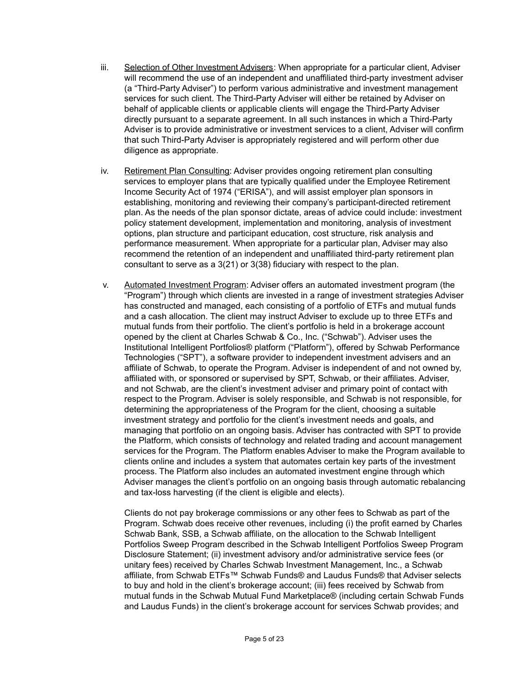- iii. Selection of Other Investment Advisers: When appropriate for a particular client, Adviser will recommend the use of an independent and unaffiliated third-party investment adviser (a "Third-Party Adviser") to perform various administrative and investment management services for such client. The Third-Party Adviser will either be retained by Adviser on behalf of applicable clients or applicable clients will engage the Third-Party Adviser directly pursuant to a separate agreement. In all such instances in which a Third-Party Adviser is to provide administrative or investment services to a client, Adviser will confirm that such Third-Party Adviser is appropriately registered and will perform other due diligence as appropriate.
- iv. Retirement Plan Consulting: Adviser provides ongoing retirement plan consulting services to employer plans that are typically qualified under the Employee Retirement Income Security Act of 1974 ("ERISA"), and will assist employer plan sponsors in establishing, monitoring and reviewing their company's participant-directed retirement plan. As the needs of the plan sponsor dictate, areas of advice could include: investment policy statement development, implementation and monitoring, analysis of investment options, plan structure and participant education, cost structure, risk analysis and performance measurement. When appropriate for a particular plan, Adviser may also recommend the retention of an independent and unaffiliated third-party retirement plan consultant to serve as a 3(21) or 3(38) fiduciary with respect to the plan.
- v. Automated Investment Program: Adviser offers an automated investment program (the "Program") through which clients are invested in a range of investment strategies Adviser has constructed and managed, each consisting of a portfolio of ETFs and mutual funds and a cash allocation. The client may instruct Adviser to exclude up to three ETFs and mutual funds from their portfolio. The client's portfolio is held in a brokerage account opened by the client at Charles Schwab & Co., Inc. ("Schwab"). Adviser uses the Institutional Intelligent Portfolios® platform ("Platform"), offered by Schwab Performance Technologies ("SPT"), a software provider to independent investment advisers and an affiliate of Schwab, to operate the Program. Adviser is independent of and not owned by, affiliated with, or sponsored or supervised by SPT, Schwab, or their affiliates. Adviser, and not Schwab, are the client's investment adviser and primary point of contact with respect to the Program. Adviser is solely responsible, and Schwab is not responsible, for determining the appropriateness of the Program for the client, choosing a suitable investment strategy and portfolio for the client's investment needs and goals, and managing that portfolio on an ongoing basis. Adviser has contracted with SPT to provide the Platform, which consists of technology and related trading and account management services for the Program. The Platform enables Adviser to make the Program available to clients online and includes a system that automates certain key parts of the investment process. The Platform also includes an automated investment engine through which Adviser manages the client's portfolio on an ongoing basis through automatic rebalancing and tax-loss harvesting (if the client is eligible and elects).

Clients do not pay brokerage commissions or any other fees to Schwab as part of the Program. Schwab does receive other revenues, including (i) the profit earned by Charles Schwab Bank, SSB, a Schwab affiliate, on the allocation to the Schwab Intelligent Portfolios Sweep Program described in the Schwab Intelligent Portfolios Sweep Program Disclosure Statement; (ii) investment advisory and/or administrative service fees (or unitary fees) received by Charles Schwab Investment Management, Inc., a Schwab affiliate, from Schwab ETFs™ Schwab Funds® and Laudus Funds® that Adviser selects to buy and hold in the client's brokerage account; (iii) fees received by Schwab from mutual funds in the Schwab Mutual Fund Marketplace® (including certain Schwab Funds and Laudus Funds) in the client's brokerage account for services Schwab provides; and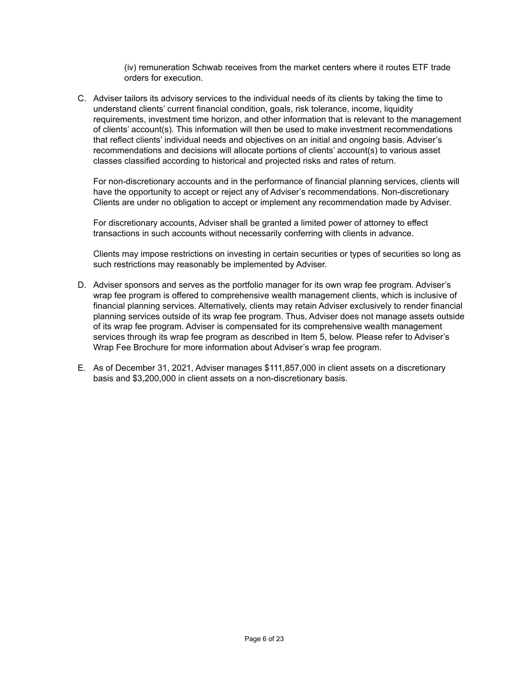(iv) remuneration Schwab receives from the market centers where it routes ETF trade orders for execution.

C. Adviser tailors its advisory services to the individual needs of its clients by taking the time to understand clients' current financial condition, goals, risk tolerance, income, liquidity requirements, investment time horizon, and other information that is relevant to the management of clients' account(s). This information will then be used to make investment recommendations that reflect clients' individual needs and objectives on an initial and ongoing basis. Adviser's recommendations and decisions will allocate portions of clients' account(s) to various asset classes classified according to historical and projected risks and rates of return.

For non-discretionary accounts and in the performance of financial planning services, clients will have the opportunity to accept or reject any of Adviser's recommendations. Non-discretionary Clients are under no obligation to accept or implement any recommendation made by Adviser.

For discretionary accounts, Adviser shall be granted a limited power of attorney to effect transactions in such accounts without necessarily conferring with clients in advance.

Clients may impose restrictions on investing in certain securities or types of securities so long as such restrictions may reasonably be implemented by Adviser.

- D. Adviser sponsors and serves as the portfolio manager for its own wrap fee program. Adviser's wrap fee program is offered to comprehensive wealth management clients, which is inclusive of financial planning services. Alternatively, clients may retain Adviser exclusively to render financial planning services outside of its wrap fee program. Thus, Adviser does not manage assets outside of its wrap fee program. Adviser is compensated for its comprehensive wealth management services through its wrap fee program as described in Item 5, below. Please refer to Adviser's Wrap Fee Brochure for more information about Adviser's wrap fee program.
- E. As of December 31, 2021, Adviser manages \$111,857,000 in client assets on a discretionary basis and \$3,200,000 in client assets on a non-discretionary basis.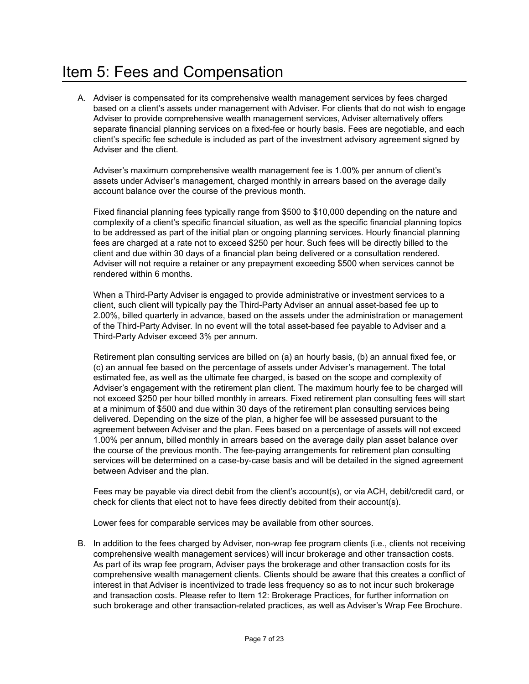# <span id="page-6-0"></span>Item 5: Fees and Compensation

A. Adviser is compensated for its comprehensive wealth management services by fees charged based on a client's assets under management with Adviser. For clients that do not wish to engage Adviser to provide comprehensive wealth management services, Adviser alternatively offers separate financial planning services on a fixed-fee or hourly basis. Fees are negotiable, and each client's specific fee schedule is included as part of the investment advisory agreement signed by Adviser and the client.

Adviser's maximum comprehensive wealth management fee is 1.00% per annum of client's assets under Adviser's management, charged monthly in arrears based on the average daily account balance over the course of the previous month.

Fixed financial planning fees typically range from \$500 to \$10,000 depending on the nature and complexity of a client's specific financial situation, as well as the specific financial planning topics to be addressed as part of the initial plan or ongoing planning services. Hourly financial planning fees are charged at a rate not to exceed \$250 per hour. Such fees will be directly billed to the client and due within 30 days of a financial plan being delivered or a consultation rendered. Adviser will not require a retainer or any prepayment exceeding \$500 when services cannot be rendered within 6 months.

When a Third-Party Adviser is engaged to provide administrative or investment services to a client, such client will typically pay the Third-Party Adviser an annual asset-based fee up to 2.00%, billed quarterly in advance, based on the assets under the administration or management of the Third-Party Adviser. In no event will the total asset-based fee payable to Adviser and a Third-Party Adviser exceed 3% per annum.

Retirement plan consulting services are billed on (a) an hourly basis, (b) an annual fixed fee, or (c) an annual fee based on the percentage of assets under Adviser's management. The total estimated fee, as well as the ultimate fee charged, is based on the scope and complexity of Adviser's engagement with the retirement plan client. The maximum hourly fee to be charged will not exceed \$250 per hour billed monthly in arrears. Fixed retirement plan consulting fees will start at a minimum of \$500 and due within 30 days of the retirement plan consulting services being delivered. Depending on the size of the plan, a higher fee will be assessed pursuant to the agreement between Adviser and the plan. Fees based on a percentage of assets will not exceed 1.00% per annum, billed monthly in arrears based on the average daily plan asset balance over the course of the previous month. The fee-paying arrangements for retirement plan consulting services will be determined on a case-by-case basis and will be detailed in the signed agreement between Adviser and the plan.

Fees may be payable via direct debit from the client's account(s), or via ACH, debit/credit card, or check for clients that elect not to have fees directly debited from their account(s).

Lower fees for comparable services may be available from other sources.

B. In addition to the fees charged by Adviser, non-wrap fee program clients (i.e., clients not receiving comprehensive wealth management services) will incur brokerage and other transaction costs. As part of its wrap fee program, Adviser pays the brokerage and other transaction costs for its comprehensive wealth management clients. Clients should be aware that this creates a conflict of interest in that Adviser is incentivized to trade less frequency so as to not incur such brokerage and transaction costs. Please refer to Item 12: Brokerage Practices, for further information on such brokerage and other transaction-related practices, as well as Adviser's Wrap Fee Brochure.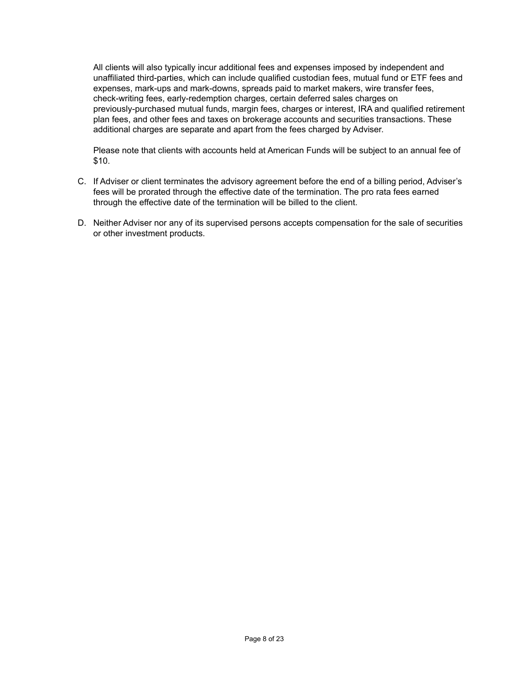All clients will also typically incur additional fees and expenses imposed by independent and unaffiliated third-parties, which can include qualified custodian fees, mutual fund or ETF fees and expenses, mark-ups and mark-downs, spreads paid to market makers, wire transfer fees, check-writing fees, early-redemption charges, certain deferred sales charges on previously-purchased mutual funds, margin fees, charges or interest, IRA and qualified retirement plan fees, and other fees and taxes on brokerage accounts and securities transactions. These additional charges are separate and apart from the fees charged by Adviser.

Please note that clients with accounts held at American Funds will be subject to an annual fee of \$10.

- C. If Adviser or client terminates the advisory agreement before the end of a billing period, Adviser's fees will be prorated through the effective date of the termination. The pro rata fees earned through the effective date of the termination will be billed to the client.
- D. Neither Adviser nor any of its supervised persons accepts compensation for the sale of securities or other investment products.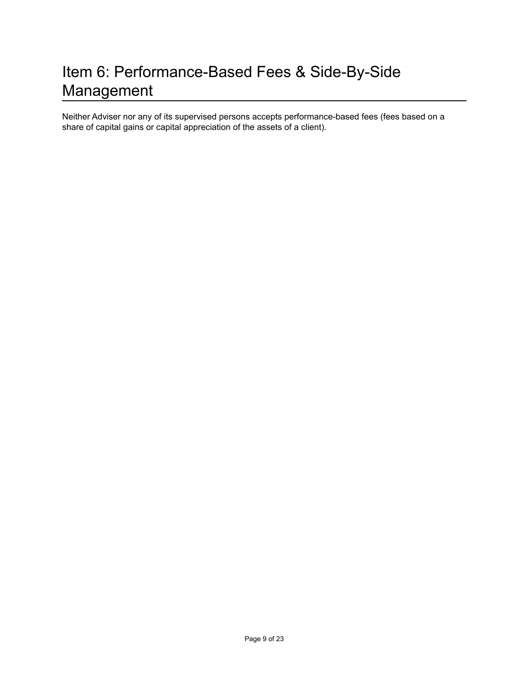# <span id="page-8-0"></span>Item 6: Performance-Based Fees & Side-By-Side Management

Neither Adviser nor any of its supervised persons accepts performance-based fees (fees based on a share of capital gains or capital appreciation of the assets of a client).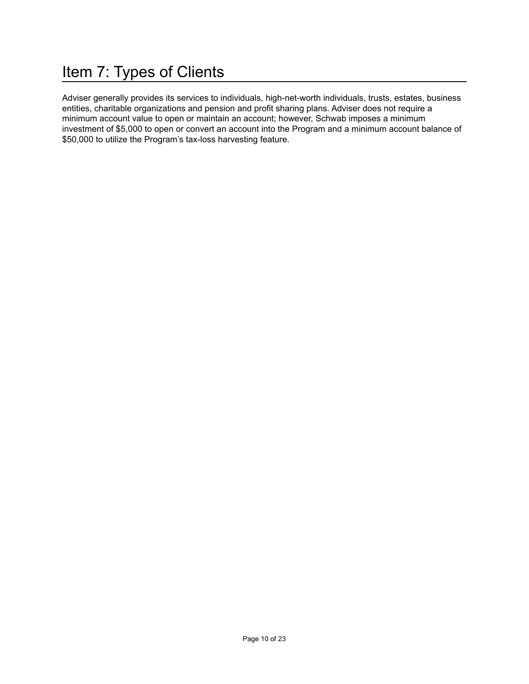# <span id="page-9-0"></span>Item 7: Types of Clients

Adviser generally provides its services to individuals, high-net-worth individuals, trusts, estates, business entities, charitable organizations and pension and profit sharing plans. Adviser does not require a minimum account value to open or maintain an account; however, Schwab imposes a minimum investment of \$5,000 to open or convert an account into the Program and a minimum account balance of \$50,000 to utilize the Program's tax-loss harvesting feature.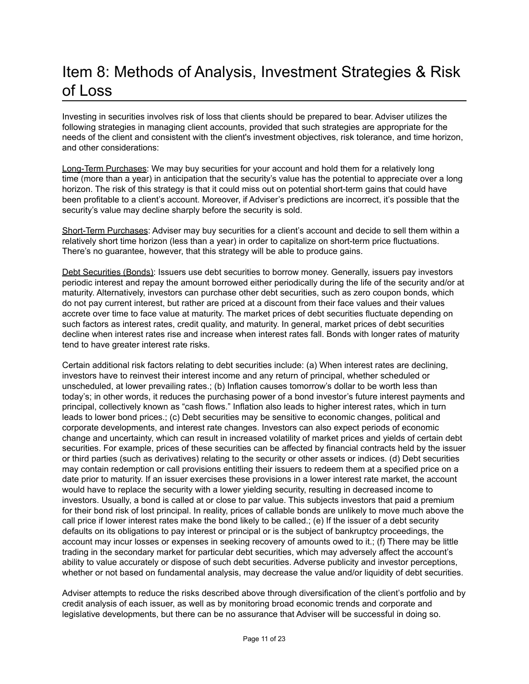# <span id="page-10-0"></span>Item 8: Methods of Analysis, Investment Strategies & Risk of Loss

Investing in securities involves risk of loss that clients should be prepared to bear. Adviser utilizes the following strategies in managing client accounts, provided that such strategies are appropriate for the needs of the client and consistent with the client's investment objectives, risk tolerance, and time horizon, and other considerations:

Long-Term Purchases: We may buy securities for your account and hold them for a relatively long time (more than a year) in anticipation that the security's value has the potential to appreciate over a long horizon. The risk of this strategy is that it could miss out on potential short-term gains that could have been profitable to a client's account. Moreover, if Adviser's predictions are incorrect, it's possible that the security's value may decline sharply before the security is sold.

Short-Term Purchases: Adviser may buy securities for a client's account and decide to sell them within a relatively short time horizon (less than a year) in order to capitalize on short-term price fluctuations. There's no guarantee, however, that this strategy will be able to produce gains.

Debt Securities (Bonds): Issuers use debt securities to borrow money. Generally, issuers pay investors periodic interest and repay the amount borrowed either periodically during the life of the security and/or at maturity. Alternatively, investors can purchase other debt securities, such as zero coupon bonds, which do not pay current interest, but rather are priced at a discount from their face values and their values accrete over time to face value at maturity. The market prices of debt securities fluctuate depending on such factors as interest rates, credit quality, and maturity. In general, market prices of debt securities decline when interest rates rise and increase when interest rates fall. Bonds with longer rates of maturity tend to have greater interest rate risks.

Certain additional risk factors relating to debt securities include: (a) When interest rates are declining, investors have to reinvest their interest income and any return of principal, whether scheduled or unscheduled, at lower prevailing rates.; (b) Inflation causes tomorrow's dollar to be worth less than today's; in other words, it reduces the purchasing power of a bond investor's future interest payments and principal, collectively known as "cash flows." Inflation also leads to higher interest rates, which in turn leads to lower bond prices.; (c) Debt securities may be sensitive to economic changes, political and corporate developments, and interest rate changes. Investors can also expect periods of economic change and uncertainty, which can result in increased volatility of market prices and yields of certain debt securities. For example, prices of these securities can be affected by financial contracts held by the issuer or third parties (such as derivatives) relating to the security or other assets or indices. (d) Debt securities may contain redemption or call provisions entitling their issuers to redeem them at a specified price on a date prior to maturity. If an issuer exercises these provisions in a lower interest rate market, the account would have to replace the security with a lower yielding security, resulting in decreased income to investors. Usually, a bond is called at or close to par value. This subjects investors that paid a premium for their bond risk of lost principal. In reality, prices of callable bonds are unlikely to move much above the call price if lower interest rates make the bond likely to be called.; (e) If the issuer of a debt security defaults on its obligations to pay interest or principal or is the subject of bankruptcy proceedings, the account may incur losses or expenses in seeking recovery of amounts owed to it.; (f) There may be little trading in the secondary market for particular debt securities, which may adversely affect the account's ability to value accurately or dispose of such debt securities. Adverse publicity and investor perceptions, whether or not based on fundamental analysis, may decrease the value and/or liquidity of debt securities.

Adviser attempts to reduce the risks described above through diversification of the client's portfolio and by credit analysis of each issuer, as well as by monitoring broad economic trends and corporate and legislative developments, but there can be no assurance that Adviser will be successful in doing so.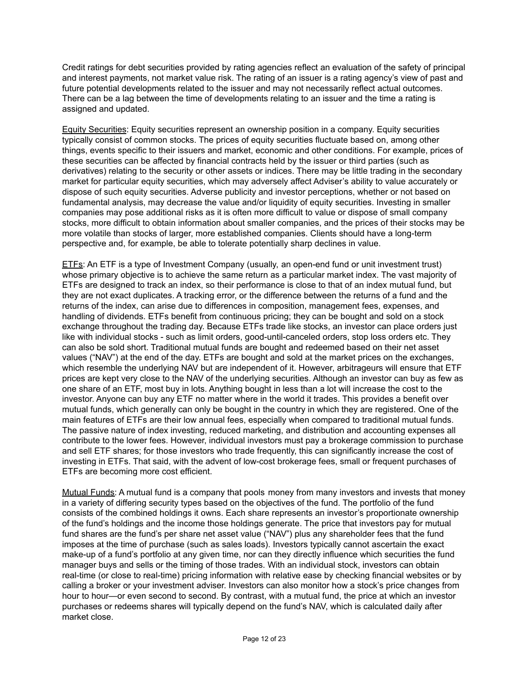Credit ratings for debt securities provided by rating agencies reflect an evaluation of the safety of principal and interest payments, not market value risk. The rating of an issuer is a rating agency's view of past and future potential developments related to the issuer and may not necessarily reflect actual outcomes. There can be a lag between the time of developments relating to an issuer and the time a rating is assigned and updated.

Equity Securities: Equity securities represent an ownership position in a company. Equity securities typically consist of common stocks. The prices of equity securities fluctuate based on, among other things, events specific to their issuers and market, economic and other conditions. For example, prices of these securities can be affected by financial contracts held by the issuer or third parties (such as derivatives) relating to the security or other assets or indices. There may be little trading in the secondary market for particular equity securities, which may adversely affect Adviser's ability to value accurately or dispose of such equity securities. Adverse publicity and investor perceptions, whether or not based on fundamental analysis, may decrease the value and/or liquidity of equity securities. Investing in smaller companies may pose additional risks as it is often more difficult to value or dispose of small company stocks, more difficult to obtain information about smaller companies, and the prices of their stocks may be more volatile than stocks of larger, more established companies. Clients should have a long-term perspective and, for example, be able to tolerate potentially sharp declines in value.

ETFs: An ETF is a type of Investment Company (usually, an open-end fund or unit investment trust) whose primary objective is to achieve the same return as a particular market index. The vast majority of ETFs are designed to track an index, so their performance is close to that of an index mutual fund, but they are not exact duplicates. A tracking error, or the difference between the returns of a fund and the returns of the index, can arise due to differences in composition, management fees, expenses, and handling of dividends. ETFs benefit from continuous pricing; they can be bought and sold on a stock exchange throughout the trading day. Because ETFs trade like stocks, an investor can place orders just like with individual stocks - such as limit orders, good-until-canceled orders, stop loss orders etc. They can also be sold short. Traditional mutual funds are bought and redeemed based on their net asset values ("NAV") at the end of the day. ETFs are bought and sold at the market prices on the exchanges, which resemble the underlying NAV but are independent of it. However, arbitrageurs will ensure that ETF prices are kept very close to the NAV of the underlying securities. Although an investor can buy as few as one share of an ETF, most buy in lots. Anything bought in less than a lot will increase the cost to the investor. Anyone can buy any ETF no matter where in the world it trades. This provides a benefit over mutual funds, which generally can only be bought in the country in which they are registered. One of the main features of ETFs are their low annual fees, especially when compared to traditional mutual funds. The passive nature of index investing, reduced marketing, and distribution and accounting expenses all contribute to the lower fees. However, individual investors must pay a brokerage commission to purchase and sell ETF shares; for those investors who trade frequently, this can significantly increase the cost of investing in ETFs. That said, with the advent of low-cost brokerage fees, small or frequent purchases of ETFs are becoming more cost efficient.

Mutual Funds: A mutual fund is a company that pools money from many investors and invests that money in a variety of differing security types based on the objectives of the fund. The portfolio of the fund consists of the combined holdings it owns. Each share represents an investor's proportionate ownership of the fund's holdings and the income those holdings generate. The price that investors pay for mutual fund shares are the fund's per share net asset value ("NAV") plus any shareholder fees that the fund imposes at the time of purchase (such as sales loads). Investors typically cannot ascertain the exact make-up of a fund's portfolio at any given time, nor can they directly influence which securities the fund manager buys and sells or the timing of those trades. With an individual stock, investors can obtain real-time (or close to real-time) pricing information with relative ease by checking financial websites or by calling a broker or your investment adviser. Investors can also monitor how a stock's price changes from hour to hour—or even second to second. By contrast, with a mutual fund, the price at which an investor purchases or redeems shares will typically depend on the fund's NAV, which is calculated daily after market close.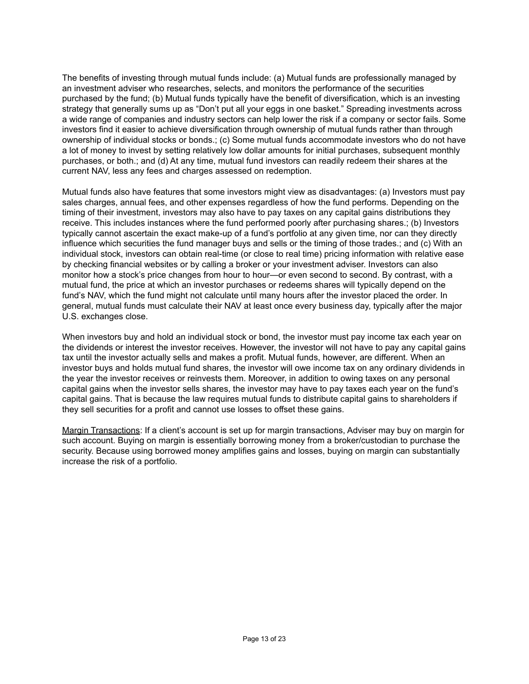The benefits of investing through mutual funds include: (a) Mutual funds are professionally managed by an investment adviser who researches, selects, and monitors the performance of the securities purchased by the fund; (b) Mutual funds typically have the benefit of diversification, which is an investing strategy that generally sums up as "Don't put all your eggs in one basket." Spreading investments across a wide range of companies and industry sectors can help lower the risk if a company or sector fails. Some investors find it easier to achieve diversification through ownership of mutual funds rather than through ownership of individual stocks or bonds.; (c) Some mutual funds accommodate investors who do not have a lot of money to invest by setting relatively low dollar amounts for initial purchases, subsequent monthly purchases, or both.; and (d) At any time, mutual fund investors can readily redeem their shares at the current NAV, less any fees and charges assessed on redemption.

Mutual funds also have features that some investors might view as disadvantages: (a) Investors must pay sales charges, annual fees, and other expenses regardless of how the fund performs. Depending on the timing of their investment, investors may also have to pay taxes on any capital gains distributions they receive. This includes instances where the fund performed poorly after purchasing shares.; (b) Investors typically cannot ascertain the exact make-up of a fund's portfolio at any given time, nor can they directly influence which securities the fund manager buys and sells or the timing of those trades.; and (c) With an individual stock, investors can obtain real-time (or close to real time) pricing information with relative ease by checking financial websites or by calling a broker or your investment adviser. Investors can also monitor how a stock's price changes from hour to hour—or even second to second. By contrast, with a mutual fund, the price at which an investor purchases or redeems shares will typically depend on the fund's NAV, which the fund might not calculate until many hours after the investor placed the order. In general, mutual funds must calculate their NAV at least once every business day, typically after the major U.S. exchanges close.

When investors buy and hold an individual stock or bond, the investor must pay income tax each year on the dividends or interest the investor receives. However, the investor will not have to pay any capital gains tax until the investor actually sells and makes a profit. Mutual funds, however, are different. When an investor buys and holds mutual fund shares, the investor will owe income tax on any ordinary dividends in the year the investor receives or reinvests them. Moreover, in addition to owing taxes on any personal capital gains when the investor sells shares, the investor may have to pay taxes each year on the fund's capital gains. That is because the law requires mutual funds to distribute capital gains to shareholders if they sell securities for a profit and cannot use losses to offset these gains.

Margin Transactions: If a client's account is set up for margin transactions, Adviser may buy on margin for such account. Buying on margin is essentially borrowing money from a broker/custodian to purchase the security. Because using borrowed money amplifies gains and losses, buying on margin can substantially increase the risk of a portfolio.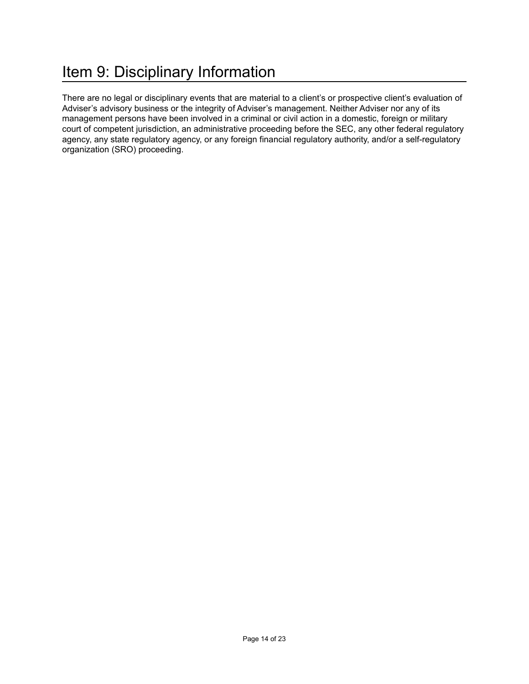# <span id="page-13-0"></span>Item 9: Disciplinary Information

There are no legal or disciplinary events that are material to a client's or prospective client's evaluation of Adviser's advisory business or the integrity of Adviser's management. Neither Adviser nor any of its management persons have been involved in a criminal or civil action in a domestic, foreign or military court of competent jurisdiction, an administrative proceeding before the SEC, any other federal regulatory agency, any state regulatory agency, or any foreign financial regulatory authority, and/or a self-regulatory organization (SRO) proceeding.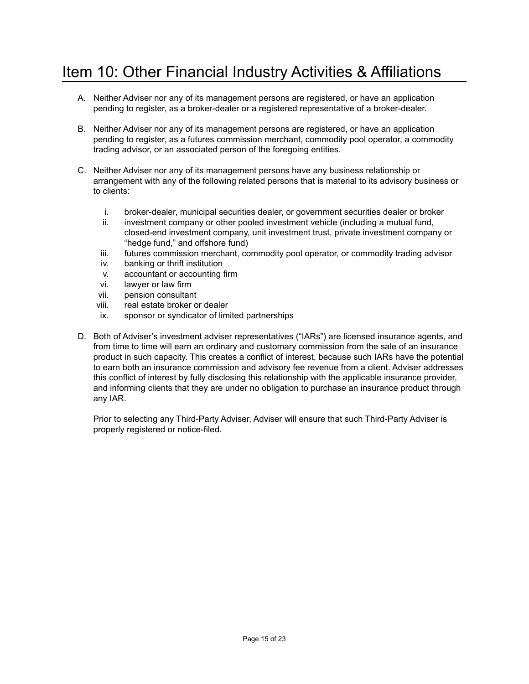# <span id="page-14-0"></span>Item 10: Other Financial Industry Activities & Affiliations

- A. Neither Adviser nor any of its management persons are registered, or have an application pending to register, as a broker-dealer or a registered representative of a broker-dealer.
- B. Neither Adviser nor any of its management persons are registered, or have an application pending to register, as a futures commission merchant, commodity pool operator, a commodity trading advisor, or an associated person of the foregoing entities.
- C. Neither Adviser nor any of its management persons have any business relationship or arrangement with any of the following related persons that is material to its advisory business or to clients:
	- i. broker-dealer, municipal securities dealer, or government securities dealer or broker
	- ii. investment company or other pooled investment vehicle (including a mutual fund, closed-end investment company, unit investment trust, private investment company or "hedge fund," and offshore fund)
	- iii. futures commission merchant, commodity pool operator, or commodity trading advisor
	- iv. banking or thrift institution
	- v. accountant or accounting firm
	- vi. lawyer or law firm
	- vii. pension consultant
	- viii. real estate broker or dealer
	- ix. sponsor or syndicator of limited partnerships
- D. Both of Adviser's investment adviser representatives ("IARs") are licensed insurance agents, and from time to time will earn an ordinary and customary commission from the sale of an insurance product in such capacity. This creates a conflict of interest, because such IARs have the potential to earn both an insurance commission and advisory fee revenue from a client. Adviser addresses this conflict of interest by fully disclosing this relationship with the applicable insurance provider, and informing clients that they are under no obligation to purchase an insurance product through any IAR.

Prior to selecting any Third-Party Adviser, Adviser will ensure that such Third-Party Adviser is properly registered or notice-filed.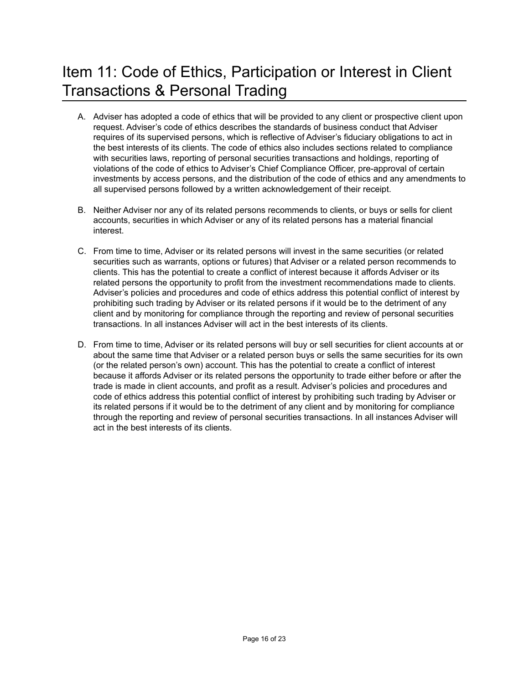# <span id="page-15-0"></span>Item 11: Code of Ethics, Participation or Interest in Client Transactions & Personal Trading

- A. Adviser has adopted a code of ethics that will be provided to any client or prospective client upon request. Adviser's code of ethics describes the standards of business conduct that Adviser requires of its supervised persons, which is reflective of Adviser's fiduciary obligations to act in the best interests of its clients. The code of ethics also includes sections related to compliance with securities laws, reporting of personal securities transactions and holdings, reporting of violations of the code of ethics to Adviser's Chief Compliance Officer, pre-approval of certain investments by access persons, and the distribution of the code of ethics and any amendments to all supervised persons followed by a written acknowledgement of their receipt.
- B. Neither Adviser nor any of its related persons recommends to clients, or buys or sells for client accounts, securities in which Adviser or any of its related persons has a material financial interest.
- C. From time to time, Adviser or its related persons will invest in the same securities (or related securities such as warrants, options or futures) that Adviser or a related person recommends to clients. This has the potential to create a conflict of interest because it affords Adviser or its related persons the opportunity to profit from the investment recommendations made to clients. Adviser's policies and procedures and code of ethics address this potential conflict of interest by prohibiting such trading by Adviser or its related persons if it would be to the detriment of any client and by monitoring for compliance through the reporting and review of personal securities transactions. In all instances Adviser will act in the best interests of its clients.
- D. From time to time, Adviser or its related persons will buy or sell securities for client accounts at or about the same time that Adviser or a related person buys or sells the same securities for its own (or the related person's own) account. This has the potential to create a conflict of interest because it affords Adviser or its related persons the opportunity to trade either before or after the trade is made in client accounts, and profit as a result. Adviser's policies and procedures and code of ethics address this potential conflict of interest by prohibiting such trading by Adviser or its related persons if it would be to the detriment of any client and by monitoring for compliance through the reporting and review of personal securities transactions. In all instances Adviser will act in the best interests of its clients.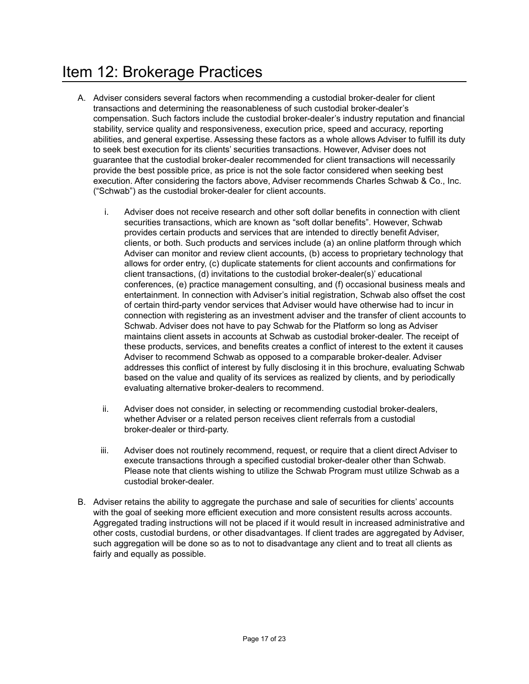#### <span id="page-16-0"></span>Item 12: Brokerage Practices

- A. Adviser considers several factors when recommending a custodial broker-dealer for client transactions and determining the reasonableness of such custodial broker-dealer's compensation. Such factors include the custodial broker-dealer's industry reputation and financial stability, service quality and responsiveness, execution price, speed and accuracy, reporting abilities, and general expertise. Assessing these factors as a whole allows Adviser to fulfill its duty to seek best execution for its clients' securities transactions. However, Adviser does not guarantee that the custodial broker-dealer recommended for client transactions will necessarily provide the best possible price, as price is not the sole factor considered when seeking best execution. After considering the factors above, Adviser recommends Charles Schwab & Co., Inc. ("Schwab") as the custodial broker-dealer for client accounts.
	- i. Adviser does not receive research and other soft dollar benefits in connection with client securities transactions, which are known as "soft dollar benefits". However, Schwab provides certain products and services that are intended to directly benefit Adviser, clients, or both. Such products and services include (a) an online platform through which Adviser can monitor and review client accounts, (b) access to proprietary technology that allows for order entry, (c) duplicate statements for client accounts and confirmations for client transactions, (d) invitations to the custodial broker-dealer(s)' educational conferences, (e) practice management consulting, and (f) occasional business meals and entertainment. In connection with Adviser's initial registration, Schwab also offset the cost of certain third-party vendor services that Adviser would have otherwise had to incur in connection with registering as an investment adviser and the transfer of client accounts to Schwab. Adviser does not have to pay Schwab for the Platform so long as Adviser maintains client assets in accounts at Schwab as custodial broker-dealer. The receipt of these products, services, and benefits creates a conflict of interest to the extent it causes Adviser to recommend Schwab as opposed to a comparable broker-dealer. Adviser addresses this conflict of interest by fully disclosing it in this brochure, evaluating Schwab based on the value and quality of its services as realized by clients, and by periodically evaluating alternative broker-dealers to recommend.
	- ii. Adviser does not consider, in selecting or recommending custodial broker-dealers, whether Adviser or a related person receives client referrals from a custodial broker-dealer or third-party.
	- iii. Adviser does not routinely recommend, request, or require that a client direct Adviser to execute transactions through a specified custodial broker-dealer other than Schwab. Please note that clients wishing to utilize the Schwab Program must utilize Schwab as a custodial broker-dealer.
- B. Adviser retains the ability to aggregate the purchase and sale of securities for clients' accounts with the goal of seeking more efficient execution and more consistent results across accounts. Aggregated trading instructions will not be placed if it would result in increased administrative and other costs, custodial burdens, or other disadvantages. If client trades are aggregated by Adviser, such aggregation will be done so as to not to disadvantage any client and to treat all clients as fairly and equally as possible.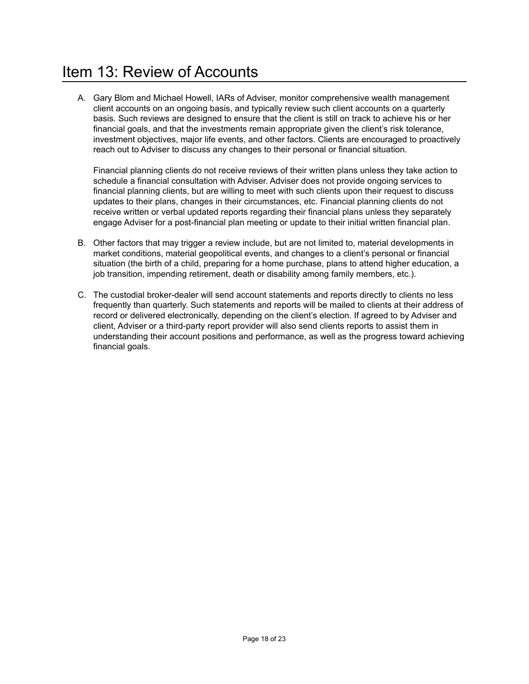# <span id="page-17-0"></span>Item 13: Review of Accounts

A. Gary Blom and Michael Howell, IARs of Adviser, monitor comprehensive wealth management client accounts on an ongoing basis, and typically review such client accounts on a quarterly basis. Such reviews are designed to ensure that the client is still on track to achieve his or her financial goals, and that the investments remain appropriate given the client's risk tolerance, investment objectives, major life events, and other factors. Clients are encouraged to proactively reach out to Adviser to discuss any changes to their personal or financial situation.

Financial planning clients do not receive reviews of their written plans unless they take action to schedule a financial consultation with Adviser. Adviser does not provide ongoing services to financial planning clients, but are willing to meet with such clients upon their request to discuss updates to their plans, changes in their circumstances, etc. Financial planning clients do not receive written or verbal updated reports regarding their financial plans unless they separately engage Adviser for a post-financial plan meeting or update to their initial written financial plan.

- B. Other factors that may trigger a review include, but are not limited to, material developments in market conditions, material geopolitical events, and changes to a client's personal or financial situation (the birth of a child, preparing for a home purchase, plans to attend higher education, a job transition, impending retirement, death or disability among family members, etc.).
- C. The custodial broker-dealer will send account statements and reports directly to clients no less frequently than quarterly. Such statements and reports will be mailed to clients at their address of record or delivered electronically, depending on the client's election. If agreed to by Adviser and client, Adviser or a third-party report provider will also send clients reports to assist them in understanding their account positions and performance, as well as the progress toward achieving financial goals.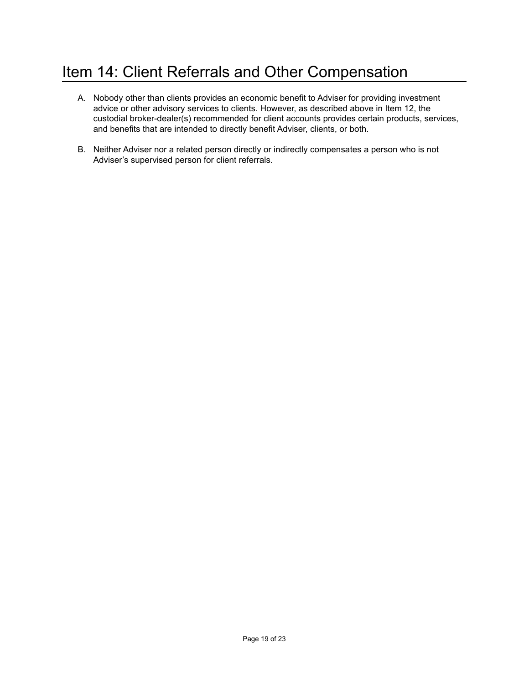# <span id="page-18-0"></span>Item 14: Client Referrals and Other Compensation

- A. Nobody other than clients provides an economic benefit to Adviser for providing investment advice or other advisory services to clients. However, as described above in Item 12, the custodial broker-dealer(s) recommended for client accounts provides certain products, services, and benefits that are intended to directly benefit Adviser, clients, or both.
- B. Neither Adviser nor a related person directly or indirectly compensates a person who is not Adviser's supervised person for client referrals.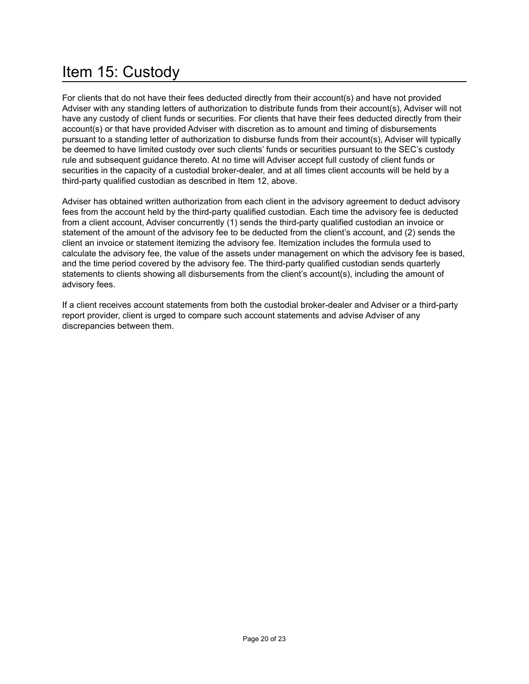# <span id="page-19-0"></span>Item 15: Custody

For clients that do not have their fees deducted directly from their account(s) and have not provided Adviser with any standing letters of authorization to distribute funds from their account(s), Adviser will not have any custody of client funds or securities. For clients that have their fees deducted directly from their account(s) or that have provided Adviser with discretion as to amount and timing of disbursements pursuant to a standing letter of authorization to disburse funds from their account(s), Adviser will typically be deemed to have limited custody over such clients' funds or securities pursuant to the SEC's custody rule and subsequent guidance thereto. At no time will Adviser accept full custody of client funds or securities in the capacity of a custodial broker-dealer, and at all times client accounts will be held by a third-party qualified custodian as described in Item 12, above.

Adviser has obtained written authorization from each client in the advisory agreement to deduct advisory fees from the account held by the third-party qualified custodian. Each time the advisory fee is deducted from a client account, Adviser concurrently (1) sends the third-party qualified custodian an invoice or statement of the amount of the advisory fee to be deducted from the client's account, and (2) sends the client an invoice or statement itemizing the advisory fee. Itemization includes the formula used to calculate the advisory fee, the value of the assets under management on which the advisory fee is based, and the time period covered by the advisory fee. The third-party qualified custodian sends quarterly statements to clients showing all disbursements from the client's account(s), including the amount of advisory fees.

If a client receives account statements from both the custodial broker-dealer and Adviser or a third-party report provider, client is urged to compare such account statements and advise Adviser of any discrepancies between them.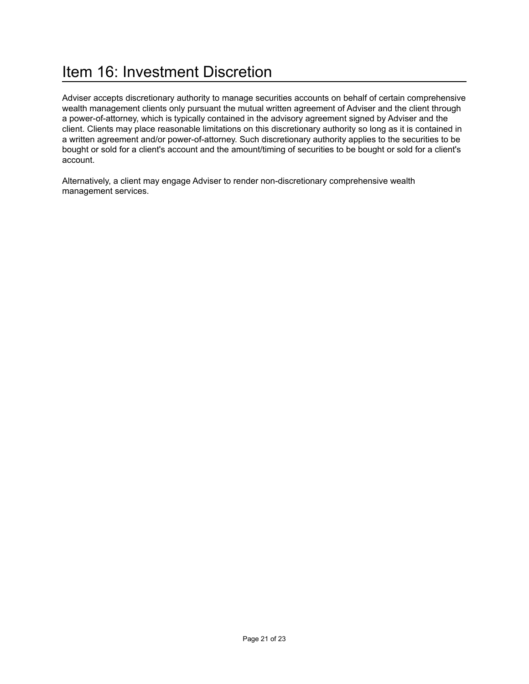# <span id="page-20-0"></span>Item 16: Investment Discretion

Adviser accepts discretionary authority to manage securities accounts on behalf of certain comprehensive wealth management clients only pursuant the mutual written agreement of Adviser and the client through a power-of-attorney, which is typically contained in the advisory agreement signed by Adviser and the client. Clients may place reasonable limitations on this discretionary authority so long as it is contained in a written agreement and/or power-of-attorney. Such discretionary authority applies to the securities to be bought or sold for a client's account and the amount/timing of securities to be bought or sold for a client's account.

Alternatively, a client may engage Adviser to render non-discretionary comprehensive wealth management services.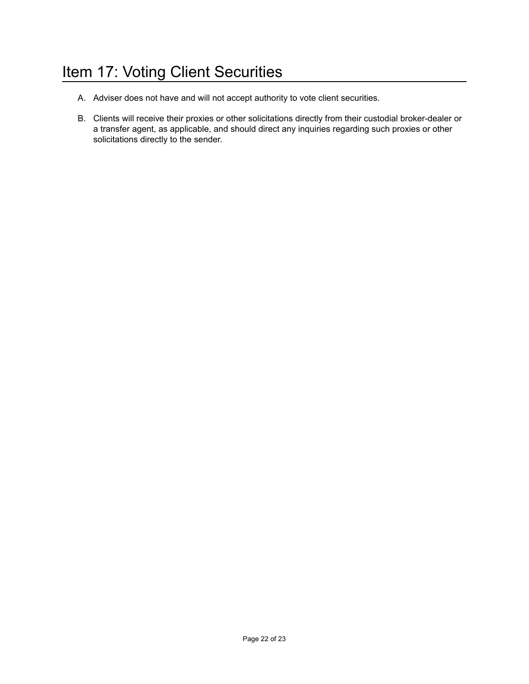# <span id="page-21-0"></span>Item 17: Voting Client Securities

- A. Adviser does not have and will not accept authority to vote client securities.
- B. Clients will receive their proxies or other solicitations directly from their custodial broker-dealer or a transfer agent, as applicable, and should direct any inquiries regarding such proxies or other solicitations directly to the sender.